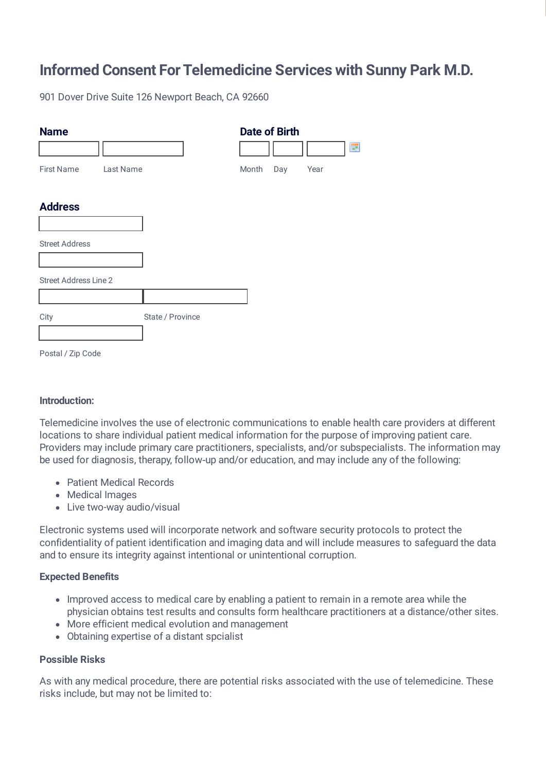# **Informed Consent For Telemedicine Services with Sunny Park M.D.**

901 Dover Drive Suite 126 Newport Beach, CA 92660

| <b>Name</b>                  |           |                  |       | <b>Date of Birth</b> |      | œ |
|------------------------------|-----------|------------------|-------|----------------------|------|---|
| <b>First Name</b>            | Last Name |                  | Month | Day                  | Year |   |
| <b>Address</b>               |           |                  |       |                      |      |   |
| <b>Street Address</b>        |           |                  |       |                      |      |   |
| <b>Street Address Line 2</b> |           |                  |       |                      |      |   |
| City                         |           | State / Province |       |                      |      |   |
| Postal / Zip Code            |           |                  |       |                      |      |   |

#### **Introduction:**

Telemedicine involves the use of electronic communications to enable health care providers at different locations to share individual patient medical information for the purpose of improving patient care. Providers may include primary care practitioners, specialists, and/or subspecialists. The information may be used for diagnosis, therapy, follow-up and/or education, and may include any of the following:

- Patient Medical Records
- Medical Images
- Live two-way audio/visual

Electronic systems used will incorporate network and software security protocols to protect the confidentiality of patient identification and imaging data and will include measures to safeguard the data and to ensure its integrity against intentional or unintentional corruption.

### **Expected Benefits**

- Improved access to medical care by enabling a patient to remain in a remote area while the physician obtains test results and consults form healthcare practitioners at a distance/other sites.
- More efficient medical evolution and management
- Obtaining expertise of a distant spcialist

### **Possible Risks**

As with any medical procedure, there are potential risks associated with the use of telemedicine. These risks include, but may not be limited to: